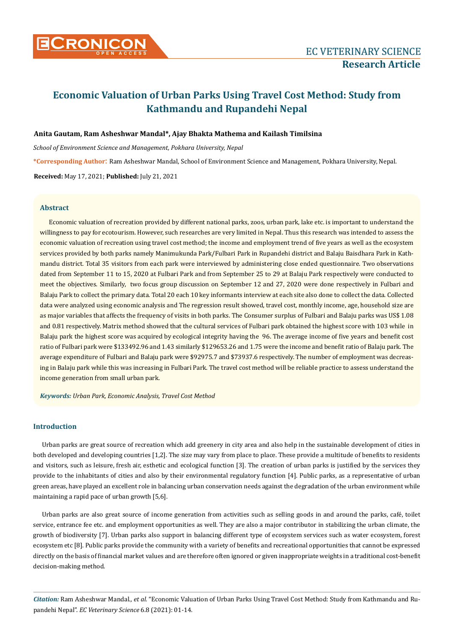

## **Anita Gautam, Ram Asheshwar Mandal\*, Ajay Bhakta Mathema and Kailash Timilsina**

*School of Environment Science and Management, Pokhara University, Nepal*

**\*Corresponding Author**: Ram Asheshwar Mandal, School of Environment Science and Management, Pokhara University, Nepal.

**Received:** May 17, 2021; **Published:** July 21, 2021

## **Abstract**

Economic valuation of recreation provided by different national parks, zoos, urban park, lake etc. is important to understand the willingness to pay for ecotourism. However, such researches are very limited in Nepal. Thus this research was intended to assess the economic valuation of recreation using travel cost method; the income and employment trend of five years as well as the ecosystem services provided by both parks namely Manimukunda Park/Fulbari Park in Rupandehi district and Balaju Baisdhara Park in Kathmandu district. Total 35 visitors from each park were interviewed by administering close ended questionnaire. Two observations dated from September 11 to 15, 2020 at Fulbari Park and from September 25 to 29 at Balaju Park respectively were conducted to meet the objectives. Similarly, two focus group discussion on September 12 and 27, 2020 were done respectively in Fulbari and Balaju Park to collect the primary data. Total 20 each 10 key informants interview at each site also done to collect the data. Collected data were analyzed using economic analysis and The regression result showed, travel cost, monthly income, age, household size are as major variables that affects the frequency of visits in both parks. The Consumer surplus of Fulbari and Balaju parks was US\$ 1.08 and 0.81 respectively. Matrix method showed that the cultural services of Fulbari park obtained the highest score with 103 while in Balaju park the highest score was acquired by ecological integrity having the 96. The average income of five years and benefit cost ratio of Fulbari park were \$133492.96 and 1.43 similarly \$129653.26 and 1.75 were the income and benefit ratio of Balaju park. The average expenditure of Fulbari and Balaju park were \$92975.7 and \$73937.6 respectively. The number of employment was decreasing in Balaju park while this was increasing in Fulbari Park. The travel cost method will be reliable practice to assess understand the income generation from small urban park.

*Keywords: Urban Park, Economic Analysis, Travel Cost Method*

# **Introduction**

Urban parks are great source of recreation which add greenery in city area and also help in the sustainable development of cities in both developed and developing countries [1,2]. The size may vary from place to place. These provide a multitude of benefits to residents and visitors, such as leisure, fresh air, esthetic and ecological function [3]. The creation of urban parks is justified by the services they provide to the inhabitants of cities and also by their environmental regulatory function [4]. Public parks, as a representative of urban green areas, have played an excellent role in balancing urban conservation needs against the degradation of the urban environment while maintaining a rapid pace of urban growth [5,6].

Urban parks are also great source of income generation from activities such as selling goods in and around the parks, café, toilet service, entrance fee etc. and employment opportunities as well. They are also a major contributor in stabilizing the urban climate, the growth of biodiversity [7]. Urban parks also support in balancing different type of ecosystem services such as water ecosystem, forest ecosystem etc [8]. Public parks provide the community with a variety of benefits and recreational opportunities that cannot be expressed directly on the basis of financial market values and are therefore often ignored or given inappropriate weights in a traditional cost-benefit decision-making method.

*Citation:* Ram Asheshwar Mandal*., et al.* "Economic Valuation of Urban Parks Using Travel Cost Method: Study from Kathmandu and Rupandehi Nepal". *EC Veterinary Science* 6.8 (2021): 01-14.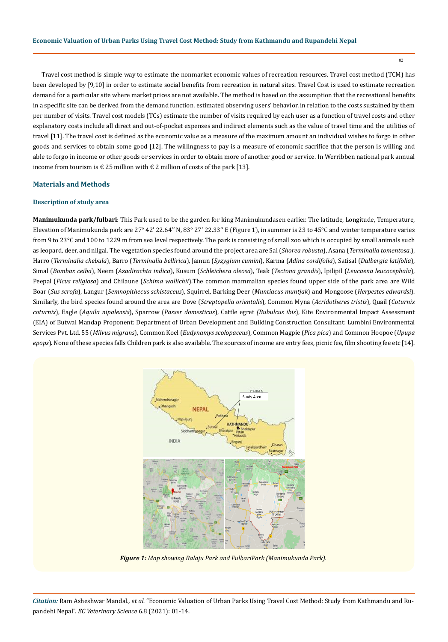Travel cost method is simple way to estimate the nonmarket economic values of recreation resources. Travel cost method (TCM) has been developed by [9,10] in order to estimate social benefits from recreation in natural sites. Travel Cost is used to estimate recreation demand for a particular site where market prices are not available. The method is based on the assumption that the recreational benefits in a specific site can be derived from the demand function, estimated observing users' behavior, in relation to the costs sustained by them per number of visits. Travel cost models (TCs) estimate the number of visits required by each user as a function of travel costs and other explanatory costs include all direct and out-of-pocket expenses and indirect elements such as the value of travel time and the utilities of travel [11]. The travel cost is defined as the economic value as a measure of the maximum amount an individual wishes to forgo in other goods and services to obtain some good [12]. The willingness to pay is a measure of economic sacrifice that the person is willing and able to forgo in income or other goods or services in order to obtain more of another good or service. In Werribben national park annual income from tourism is € 25 million with € 2 million of costs of the park [13].

# **Materials and Methods**

#### **Description of study area**

**Manimukunda park/fulbari**: This Park used to be the garden for king Manimukundasen earlier. The latitude, Longitude, Temperature, Elevation of Manimukunda park are 27° 42' 22.64'' N, 83° 27' 22.33'' E (Figure 1), in summer is 23 to 45°C and winter temperature varies from 9 to 23°C and 100 to 1229 m from sea level respectively. The park is consisting of small zoo which is occupied by small animals such as leopard, deer, and nilgai. The vegetation species found around the project area are Sal (*Shorea robusta*), Asana (*Terminalia tomentosa*.), Harro (*Terminalia chebula*), Barro (*Terminalia bellirica*), Jamun (*Syzygium cumini*), Karma (*Adina cordifolia*), Satisal (*Dalbergia latifolia*), Simal (*Bombax ceiba*), Neem (*Azadirachta indica*), Kusum (*Schleichera oleosa*), Teak (*Tectona grandis*), Ipilipil (*Leucaena leucocephala*), Peepal (*Ficus religiosa*) and Chilaune (*Schima wallichii*).The common mammalian species found upper side of the park area are Wild Boar (*Sus scrofa*), Langur (*Semnopithecus schistaceus*), Squirrel, Barking Deer (*Muntiacus muntjak*) and Mongoose (*Herpestes edwardsi*). Similarly, the bird species found around the area are Dove (*Streptopelia orientalis*), Common Myna (*Acridotheres tristis*), Quail (*Coturnix coturnix*), Eagle (*Aquila nipalensis*), Sparrow (*Passer domesticus*), Cattle egret *(Bubulcus ibis*), Kite Environmental Impact Assessment (EIA) of Butwal Mandap Proponent: Department of Urban Development and Building Construction Consultant: Lumbini Environmental Services Pvt. Ltd. 55 (*Milvus migrans*), Common Koel (*Eudynamys scolopaceus*), Common Magpie (*Pica pica*) and Common Hoopoe (*Upupa epops*). None of these species falls Children park is also available. The sources of income are entry fees, picnic fee, film shooting fee etc [14].



*Figure 1: Map showing Balaju Park and FulbariPark (Manimukunda Park).*

*Citation:* Ram Asheshwar Mandal*., et al.* "Economic Valuation of Urban Parks Using Travel Cost Method: Study from Kathmandu and Rupandehi Nepal". *EC Veterinary Science* 6.8 (2021): 01-14.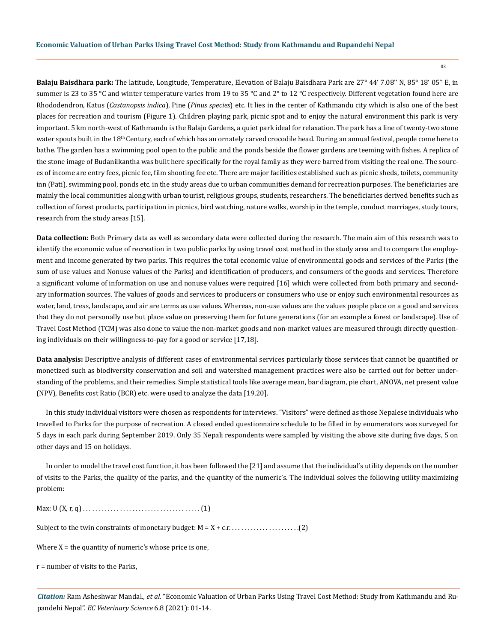**Balaju Baisdhara park:** The latitude, Longitude, Temperature, Elevation of Balaju Baisdhara Park are 27° 44' 7.08'' N, 85° 18' 05'' E, in summer is 23 to 35 °C and winter temperature varies from 19 to 35 °C and 2° to 12 °C respectively. Different vegetation found here are Rhododendron, Katus (*Castanopsis indica*), Pine (*Pinus species*) etc. It lies in the center of Kathmandu city which is also one of the best places for recreation and tourism (Figure 1). Children playing park, picnic spot and to enjoy the natural environment this park is very important. 5 km north-west of Kathmandu is the Balaju Gardens, a quiet park ideal for relaxation. The park has a line of twenty-two stone water spouts built in the 18<sup>th</sup> Century, each of which has an ornately carved crocodile head. During an annual festival, people come here to bathe. The garden has a swimming pool open to the public and the ponds beside the flower gardens are teeming with fishes. A replica of the stone image of Budanilkantha was built here specifically for the royal family as they were barred from visiting the real one. The sources of income are entry fees, picnic fee, film shooting fee etc. There are major facilities established such as picnic sheds, toilets, community inn (Pati), swimming pool, ponds etc. in the study areas due to urban communities demand for recreation purposes. The beneficiaries are mainly the local communities along with urban tourist, religious groups, students, researchers. The beneficiaries derived benefits such as collection of forest products, participation in picnics, bird watching, nature walks, worship in the temple, conduct marriages, study tours, research from the study areas [15].

**Data collection:** Both Primary data as well as secondary data were collected during the research. The main aim of this research was to identify the economic value of recreation in two public parks by using travel cost method in the study area and to compare the employment and income generated by two parks. This requires the total economic value of environmental goods and services of the Parks (the sum of use values and Nonuse values of the Parks) and identification of producers, and consumers of the goods and services. Therefore a significant volume of information on use and nonuse values were required [16] which were collected from both primary and secondary information sources. The values of goods and services to producers or consumers who use or enjoy such environmental resources as water, land, tress, landscape, and air are terms as use values. Whereas, non-use values are the values people place on a good and services that they do not personally use but place value on preserving them for future generations (for an example a forest or landscape). Use of Travel Cost Method (TCM) was also done to value the non-market goods and non-market values are measured through directly questioning individuals on their willingness-to-pay for a good or service [17,18].

**Data analysis:** Descriptive analysis of different cases of environmental services particularly those services that cannot be quantified or monetized such as biodiversity conservation and soil and watershed management practices were also be carried out for better understanding of the problems, and their remedies. Simple statistical tools like average mean, bar diagram, pie chart, ANOVA, net present value (NPV), Benefits cost Ratio (BCR) etc. were used to analyze the data [19,20].

In this study individual visitors were chosen as respondents for interviews. "Visitors" were defined as those Nepalese individuals who travelled to Parks for the purpose of recreation. A closed ended questionnaire schedule to be filled in by enumerators was surveyed for 5 days in each park during September 2019. Only 35 Nepali respondents were sampled by visiting the above site during five days, 5 on other days and 15 on holidays.

In order to model the travel cost function, it has been followed the [21] and assume that the individual's utility depends on the number of visits to the Parks, the quality of the parks, and the quantity of the numeric's. The individual solves the following utility maximizing problem:

Max: U (X, r, q) . . . . . . . . . . . . . . . . . . . . . . . . . . . . . . . . . . . . . . (1)

Subject to the twin constraints of monetary budget: M = X + c.r. . . . . . . . . . . . . . . . . . . . . . .(2)

Where  $X =$  the quantity of numeric's whose price is one,

r = number of visits to the Parks,

*Citation:* Ram Asheshwar Mandal*., et al.* "Economic Valuation of Urban Parks Using Travel Cost Method: Study from Kathmandu and Rupandehi Nepal". *EC Veterinary Science* 6.8 (2021): 01-14.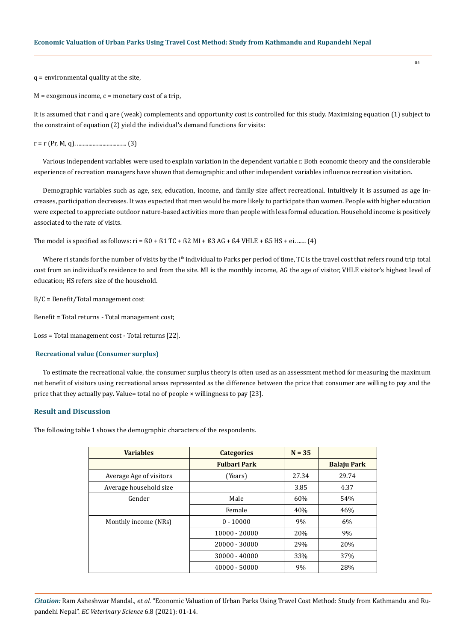q = environmental quality at the site,

 $M =$  exogenous income,  $c =$  monetary cost of a trip,

It is assumed that r and q are (weak) complements and opportunity cost is controlled for this study. Maximizing equation (1) subject to the constraint of equation (2) yield the individual's demand functions for visits:

r = r (Pr, M, q). ................................... (3)

Various independent variables were used to explain variation in the dependent variable r. Both economic theory and the considerable experience of recreation managers have shown that demographic and other independent variables influence recreation visitation.

Demographic variables such as age, sex, education, income, and family size affect recreational. Intuitively it is assumed as age increases, participation decreases. It was expected that men would be more likely to participate than women. People with higher education were expected to appreciate outdoor nature-based activities more than people with less formal education. Household income is positively associated to the rate of visits.

The model is specified as follows: ri =  $60 + 61$  TC +  $62$  MI +  $63$  AG +  $64$  VHLE +  $65$  HS + ei. ...... (4)

Where ri stands for the number of visits by the i<sup>th</sup> individual to Parks per period of time, TC is the travel cost that refers round trip total cost from an individual's residence to and from the site. MI is the monthly income, AG the age of visitor, VHLE visitor's highest level of education; HS refers size of the household.

B/C = Benefit/Total management cost

Benefit = Total returns - Total management cost;

Loss = Total management cost - Total returns [22].

#### **Recreational value (Consumer surplus)**

To estimate the recreational value, the consumer surplus theory is often used as an assessment method for measuring the maximum net benefit of visitors using recreational areas represented as the difference between the price that consumer are willing to pay and the price that they actually pay**.** Value= total no of people × willingness to pay [23].

## **Result and Discussion**

The following table 1 shows the demographic characters of the respondents.

| <b>Variables</b>        | <b>Categories</b>   | $N = 35$ |                    |
|-------------------------|---------------------|----------|--------------------|
|                         | <b>Fulbari Park</b> |          | <b>Balaju Park</b> |
| Average Age of visitors | (Years)             | 27.34    | 29.74              |
| Average household size  |                     | 3.85     | 4.37               |
| Gender                  | Male                | 60%      | 54%                |
|                         | Female              | 40%      | 46%                |
| Monthly income (NRs)    | $0 - 10000$         | 9%       | 6%                 |
|                         | 10000 - 20000       | 20%      | 9%                 |
|                         | 20000 - 30000       | 29%      | 20%                |
|                         | 30000 - 40000       | 33%      | 37%                |
|                         | 40000 - 50000       | 9%       | 28%                |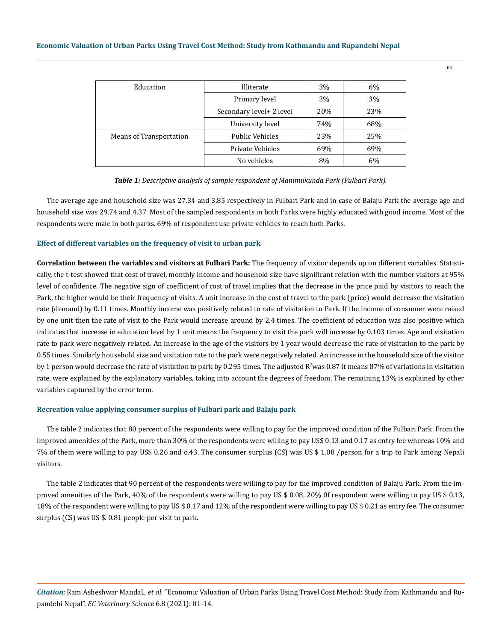| Education               | Illiterate                | 3%  | 6%  |
|-------------------------|---------------------------|-----|-----|
|                         | Primary level             | 3%  | 3%  |
|                         | Secondary level + 2 level | 20% | 23% |
|                         | University level          | 74% | 68% |
| Means of Transportation | Public Vehicles           | 23% | 25% |
|                         | Private Vehicles          | 69% | 69% |
|                         | No vehicles               | 8%  | 6%  |

|  |  | Table 1: Descriptive analysis of sample respondent of Manimukunda Park (Fulbari Park). |  |
|--|--|----------------------------------------------------------------------------------------|--|
|--|--|----------------------------------------------------------------------------------------|--|

The average age and household size was 27.34 and 3.85 respectively in Fulbari Park and in case of Balaju Park the average age and household size was 29.74 and 4.37. Most of the sampled respondents in both Parks were highly educated with good income. Most of the respondents were male in both parks. 69% of respondent use private vehicles to reach both Parks.

#### **Effect of different variables on the frequency of visit to urban park**

**Correlation between the variables and visitors at Fulbari Park:** The frequency of visitor depends up on different variables. Statistically, the t-test showed that cost of travel, monthly income and household size have significant relation with the number visitors at 95% level of confidence. The negative sign of coefficient of cost of travel implies that the decrease in the price paid by visitors to reach the Park, the higher would be their frequency of visits. A unit increase in the cost of travel to the park (price) would decrease the visitation rate (demand) by 0.11 times. Monthly income was positively related to rate of visitation to Park. If the income of consumer were raised by one unit then the rate of visit to the Park would increase around by 2.4 times. The coefficient of education was also positive which indicates that increase in education level by 1 unit means the frequency to visit the park will increase by 0.103 times. Age and visitation rate to park were negatively related. An increase in the age of the visitors by 1 year would decrease the rate of visitation to the park by 0.55 times. Similarly household size and visitation rate to the park were negatively related. An increase in the household size of the visitor by 1 person would decrease the rate of visitation to park by 0.295 times. The adjusted  $R^2$ was 0.87 it means 87% of variations in visitation rate, were explained by the explanatory variables, taking into account the degrees of freedom. The remaining 13% is explained by other variables captured by the error term.

#### **Recreation value applying consumer surplus of Fulbari park and Balaju park**

The table 2 indicates that 80 percent of the respondents were willing to pay for the improved condition of the Fulbari Park. From the improved amenities of the Park, more than 30% of the respondents were willing to pay US\$ 0.13 and 0.17 as entry fee whereas 10% and 7% of them were willing to pay US\$ 0.26 and o.43. The consumer surplus (CS) was US \$ 1.08 /person for a trip to Park among Nepali visitors.

The table 2 indicates that 90 percent of the respondents were willing to pay for the improved condition of Balaju Park. From the improved amenities of the Park, 40% of the respondents were willing to pay US \$ 0.08, 20% 0f respondent were willing to pay US \$ 0.13, 18% of the respondent were willing to pay US \$ 0.17 and 12% of the respondent were willing to pay US \$ 0.21 as entry fee. The consumer surplus (CS) was US \$. 0.81 people per visit to park.

*Citation:* Ram Asheshwar Mandal*., et al.* "Economic Valuation of Urban Parks Using Travel Cost Method: Study from Kathmandu and Rupandehi Nepal". *EC Veterinary Science* 6.8 (2021): 01-14.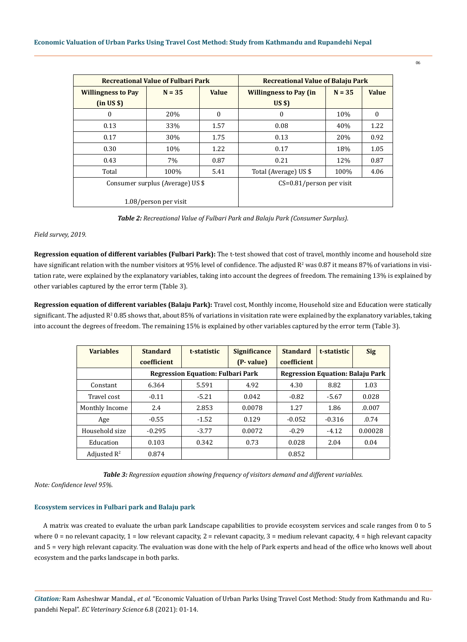|                           | <b>Recreational Value of Fulbari Park</b> |              | <b>Recreational Value of Balaju Park</b> |          |              |  |  |  |
|---------------------------|-------------------------------------------|--------------|------------------------------------------|----------|--------------|--|--|--|
| <b>Willingness to Pay</b> | $N = 35$                                  | <b>Value</b> | <b>Willingness to Pay (in</b>            | $N = 35$ | <b>Value</b> |  |  |  |
| (in US \$)                |                                           |              | US <sub>5</sub>                          |          |              |  |  |  |
| 0                         | 20%                                       | $\Omega$     | $\mathbf{0}$                             | 10%      | 0            |  |  |  |
| 0.13                      | 33%                                       | 1.57         | 0.08                                     | 40%      | 1.22         |  |  |  |
| 0.17                      | 30%                                       | 1.75         | 0.13                                     | 20%      | 0.92         |  |  |  |
| 0.30                      | 10%                                       | 1.22         | 0.17                                     | 18%      | 1.05         |  |  |  |
| 0.43                      | 7%                                        | 0.87         | 0.21                                     | 12%      | 0.87         |  |  |  |
| Total                     | 100%                                      | 5.41         | Total (Average) US \$                    | 100%     | 4.06         |  |  |  |
|                           | Consumer surplus (Average) US \$          |              | $CS=0.81/person$ per visit               |          |              |  |  |  |
|                           | 1.08/person per visit                     |              |                                          |          |              |  |  |  |

*Table 2: Recreational Value of Fulbari Park and Balaju Park (Consumer Surplus).*

## *Field survey, 2019.*

**Regression equation of different variables (Fulbari Park):** The t-test showed that cost of travel, monthly income and household size have significant relation with the number visitors at 95% level of confidence. The adjusted  $R^2$  was 0.87 it means 87% of variations in visitation rate, were explained by the explanatory variables, taking into account the degrees of freedom. The remaining 13% is explained by other variables captured by the error term (Table 3).

**Regression equation of different variables (Balaju Park):** Travel cost, Monthly income, Household size and Education were statically significant. The adjusted  $R^2$  0.85 shows that, about 85% of variations in visitation rate were explained by the explanatory variables, taking into account the degrees of freedom. The remaining 15% is explained by other variables captured by the error term (Table 3).

| <b>Variables</b>        | <b>Standard</b><br><b>coefficient</b> | t-statistic                              | <b>Significance</b><br>(P- value)       | <b>Standard</b><br>coefficient | t-statistic | <b>Sig</b> |
|-------------------------|---------------------------------------|------------------------------------------|-----------------------------------------|--------------------------------|-------------|------------|
|                         |                                       | <b>Regression Equation: Fulbari Park</b> | <b>Regression Equation: Balaju Park</b> |                                |             |            |
| Constant                | 6.364                                 | 5.591                                    | 4.92                                    | 4.30                           | 8.82        | 1.03       |
| Travel cost             | $-0.11$                               | $-5.21$                                  | 0.042                                   | $-0.82$                        | $-5.67$     | 0.028      |
| Monthly Income          | 2.4                                   | 2.853                                    | 0.0078                                  | 1.27                           | 1.86        | .0.007     |
| Age                     | $-0.55$                               | $-1.52$                                  | 0.129                                   | $-0.052$                       | $-0.316$    | .0.74      |
| Household size          | $-0.295$                              | $-3.77$                                  | 0.0072                                  | $-0.29$                        | $-4.12$     | 0.00028    |
| Education               | 0.103                                 | 0.342                                    | 0.73                                    | 0.028                          | 2.04        | 0.04       |
| Adjusted $\mathbb{R}^2$ | 0.874                                 |                                          |                                         | 0.852                          |             |            |

*Table 3: Regression equation showing frequency of visitors demand and different variables.*

*Note: Confidence level 95%.*

## **Ecosystem services in Fulbari park and Balaju park**

A matrix was created to evaluate the urban park Landscape capabilities to provide ecosystem services and scale ranges from 0 to 5 where  $0 =$  no relevant capacity,  $1 =$  low relevant capacity,  $2 =$  relevant capacity,  $3 =$  medium relevant capacity,  $4 =$  high relevant capacity and 5 = very high relevant capacity. The evaluation was done with the help of Park experts and head of the office who knows well about ecosystem and the parks landscape in both parks.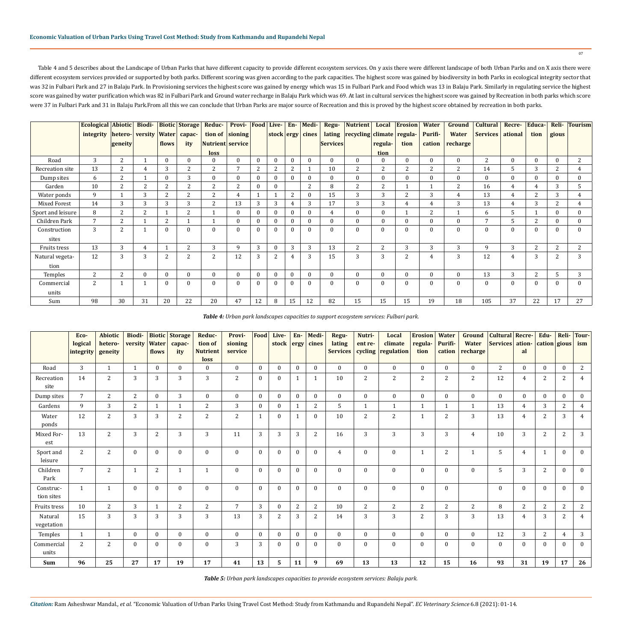Table 4 and 5 describes about the Landscape of Urban Parks that have different capacity to provide different ecosystem services. On y axis there were different landscape of both Urban Parks and on X axis there were different ecosystem services provided or supported by both parks. Different scoring was given according to the park capacities. The highest score was gained by biodiversity in both Parks in ecological integrity sector that was 32 in Fulbari Park and 27 in Balaju Park. In Provisioning services the highest score was gained by energy which was 15 in Fulbari Park and Food which was 13 in Balaju Park. Similarly in regulating service the highest score was gained by water purification which was 82 in Fulbari Park and Ground water recharge in Balaju Park which was 69. At last in cultural services the highest score was gained by Recreation in both parks which score were 37 in Fulbari Park and 31 in Balaju Park.From all this we can conclude that Urban Parks are major source of Recreation and this is proved by the highest score obtained by recreation in both parks.

|                   | <b>Ecological Abiotic</b> |                 | Biodi-         |                | <b>Biotic Storage</b> | Reduc-           | <b>Provi-</b> Food |              | Live-          | $En-$        | Medi-            | Regu-           | <b>Nutrient</b>                  | Local    | <b>Erosion</b> | <b>Water</b>   | Ground       | <b>Cultural</b> | Recre-           | Educa-         | Reli-        | <b>Tourism</b> |
|-------------------|---------------------------|-----------------|----------------|----------------|-----------------------|------------------|--------------------|--------------|----------------|--------------|------------------|-----------------|----------------------------------|----------|----------------|----------------|--------------|-----------------|------------------|----------------|--------------|----------------|
|                   | integrity                 | hetero- versity |                | <b>Water</b>   | capac-                |                  | tion of sioning    |              |                |              | stock ergy cines |                 | lating recycling climate regula- |          |                | Purifi-        | <b>Water</b> | Services        | ational          | tion           | gious        |                |
|                   |                           | geneity         |                | flows          | ity                   | Nutrient service |                    |              |                |              |                  | <b>Services</b> |                                  | regula-  | tion           | cation         | recharge     |                 |                  |                |              |                |
|                   |                           |                 |                |                |                       | loss             |                    |              |                |              |                  |                 |                                  | tion     |                |                |              |                 |                  |                |              |                |
| Road              | 3                         | $\mathbf{2}$    |                | $\theta$       | $\mathbf{0}$          | $\mathbf{0}$     | $\Omega$           | $\mathbf{0}$ |                | $\theta$     | $\theta$         | $\overline{0}$  | $\Omega$                         |          | $\mathbf{0}$   | $\mathbf{0}$   | $\mathbf{0}$ | 2               | $\mathbf{0}$     | $\mathbf{0}$   | $\mathbf{0}$ | 2              |
| Recreation site   | 13                        | 2               | $\overline{4}$ | 3              | 2                     | 2                |                    | 2            |                | 2            |                  | 10              | 2                                | 2        | 2              | $\overline{c}$ | 2            | 14              | 5                | 3              | 2            |                |
| Dump sites        | 6                         | 2               |                | $\mathbf{0}$   | 3                     | $\mathbf{0}$     | $\Omega$           | $\mathbf{0}$ |                | $\Omega$     | $\theta$         | $\mathbf{0}$    | $\mathbf{0}$                     | $\Omega$ | $\mathbf{0}$   | $\mathbf{0}$   | $\mathbf{0}$ | $\mathbf{0}$    | $\mathbf{0}$     | $\mathbf{0}$   | $\mathbf{0}$ | 0.             |
| Garden            | 10                        | 2               | $\overline{2}$ | 2              | 2                     | 2                | 2                  | $\theta$     | $\Omega$       |              | 2                | 8               | 2                                | 2        |                | $\mathbf{1}$   | 2            | 16              | $\overline{4}$   | $\overline{4}$ | 3            | 5              |
| Water ponds       | 9                         |                 | 3              | 2              | 2                     | 2                | 4                  | $\mathbf{1}$ |                | 2            | $\mathbf{0}$     | 15              | 3                                | 3        | 2              | 3              | 4            | 13              | 4                | 2              | 3            |                |
| Mixed Forest      | 14                        | 3               | 3              | 3              | 3                     | 2                | 13                 | 3            | 3              | 4            | 3                | 17              | 3                                | 3        | 4              | 4              | 3            | 13              | 4                | 3              | 2            |                |
| Sport and leisure | 8                         | 2               | 2              |                | 2                     |                  |                    | $\mathbf{0}$ |                | $\mathbf{0}$ | $\mathbf{0}$     | 4               |                                  | $\Omega$ |                | 2              |              | 6               | 5                |                | $\mathbf{0}$ |                |
| Children Park     | $\overline{7}$            | 2               |                | 2              |                       | $\mathbf{1}$     |                    | $\mathbf{0}$ |                | $\mathbf{0}$ | $\theta$         | $\mathbf{0}$    | $\Omega$                         | $\Omega$ | $\mathbf{0}$   | $\theta$       | $\mathbf{0}$ | $7\phantom{.0}$ | 5                | 2              | $\mathbf{0}$ |                |
| Construction      | 3                         | 2               |                | $\theta$       | $\mathbf{0}$          | $\mathbf{0}$     |                    | $\mathbf{0}$ | $\Omega$       | $\Omega$     | $\theta$         | $\mathbf{0}$    | $\theta$                         | $\Omega$ | $\mathbf{0}$   | $\mathbf{0}$   | $\Omega$     | $\mathbf{0}$    | $\boldsymbol{0}$ | $\mathbf{0}$   | $\mathbf{0}$ |                |
| sites             |                           |                 |                |                |                       |                  |                    |              |                |              |                  |                 |                                  |          |                |                |              |                 |                  |                |              |                |
| Fruits tress      | 13                        | 3               | 4              |                | 2                     | 3                | 9                  | 3            |                | 3            | 3                | 13              | $\overline{2}$                   | 2        | 3              | 3              | 3            | 9               | 3                | 2              | 2            | 2              |
| Natural vegeta-   | 12                        | 3               | 3              | $\overline{2}$ | 2                     | $\overline{2}$   | 12                 | 3            | $\overline{c}$ | 4            | 3                | 15              | 3                                | 3        | $\overline{2}$ | 4              | 3            | 12              | 4                | 3              | 2            | 3              |
| tion              |                           |                 |                |                |                       |                  |                    |              |                |              |                  |                 |                                  |          |                |                |              |                 |                  |                |              |                |
| Temples           | 2                         | 2               | $\mathbf{0}$   | $\mathbf{0}$   | $\mathbf{0}$          | $\bf{0}$         | $\theta$           | $\bf{0}$     | $\mathbf{0}$   | $\mathbf{0}$ | $\bf{0}$         | $\bf{0}$        | $\mathbf{0}$                     | $\Omega$ | $\mathbf{0}$   | $\mathbf{0}$   | $\mathbf{0}$ | 13              | 3                | 2              | 5            | 3              |
| Commercial        | 2                         |                 |                | $\theta$       | $\Omega$              | $\mathbf{0}$     | $\Omega$           | $\theta$     | $\theta$       | $\theta$     | $\theta$         | $\mathbf{0}$    | $\theta$                         | $\Omega$ | $\mathbf{0}$   | $\theta$       | $\Omega$     | $\mathbf{0}$    | $\mathbf{0}$     | $\Omega$       | $\theta$     |                |
| units             |                           |                 |                |                |                       |                  |                    |              |                |              |                  |                 |                                  |          |                |                |              |                 |                  |                |              |                |
| Sum               | 98                        | 30              | 31             | 20             | 22                    | 20               | 47                 | 12           | 8              | 15           | 12               | 82              | 15                               | 15       | 15             | 19             | 18           | 105             | 37               | 22             | 17           | 27             |

| Table 4: Urban park landscapes capacities to support ecosystem services: Fulbari park. |  |  |
|----------------------------------------------------------------------------------------|--|--|
|----------------------------------------------------------------------------------------|--|--|

|                         | Eco-<br>logical<br>integrity | <b>Abiotic</b><br>hetero-<br>geneity | <b>Biodi-</b><br>versity | <b>Biotic</b><br><b>Water</b><br>flows | <b>Storage</b><br>capac-<br>ity | Reduc-<br>tion of<br><b>Nutrient</b> | Provi-<br>sioning<br>service | Food     | Live-<br>stock | $En-$<br>$ $ ergy | Medi-<br>cines | Regu-<br>lating<br><b>Services</b> | Nutri-<br>ent re-<br>cycling | Local<br>climate<br>regulation | <b>Erosion</b><br>regula-<br>tion | <b>Water</b><br>Purifi-<br>cation | <b>Ground</b><br><b>Water</b><br>recharge | <b>Cultural Recre-</b><br><b>Services</b> | ation-<br>al   | Edu-<br>$ cation $ gious $ ism $ | Reli-          | Tour-          |
|-------------------------|------------------------------|--------------------------------------|--------------------------|----------------------------------------|---------------------------------|--------------------------------------|------------------------------|----------|----------------|-------------------|----------------|------------------------------------|------------------------------|--------------------------------|-----------------------------------|-----------------------------------|-------------------------------------------|-------------------------------------------|----------------|----------------------------------|----------------|----------------|
|                         |                              |                                      |                          |                                        |                                 | loss                                 |                              |          |                |                   |                |                                    |                              |                                |                                   |                                   |                                           |                                           |                |                                  |                |                |
| Road                    | 3                            | $\overline{1}$                       | $\mathbf{1}$             | $\Omega$                               | $\mathbf{0}$                    | $\mathbf{0}$                         | $\Omega$                     | $\theta$ | $\mathbf{0}$   | $\theta$          | $\theta$       | $\theta$                           | $\theta$                     | $\mathbf{0}$                   | $\bf{0}$                          | $\theta$                          | $\Omega$                                  | 2                                         | $\theta$       | $\mathbf{0}$                     | $\mathbf{0}$   | 2              |
| Recreation<br>site      | 14                           | $\overline{2}$                       | 3                        | 3                                      | 3                               | 3                                    | 2                            | $\Omega$ | $\mathbf{0}$   |                   | $\mathbf{1}$   | 10                                 | 2                            | $\overline{2}$                 | $\sqrt{2}$                        | 2                                 | 2                                         | 12                                        | 4              | 2                                | 2              | $\overline{4}$ |
| Dump sites              | $\overline{7}$               | $\overline{2}$                       | $\overline{2}$           | $\Omega$                               | 3                               | $\theta$                             | $\Omega$                     | $\Omega$ | $\theta$       | $\mathbf{0}$      | $\mathbf{0}$   | $\theta$                           | $\mathbf{0}$                 | $\bf{0}$                       | $\bf{0}$                          | $\Omega$                          | $\theta$                                  | $\mathbf{0}$                              | $\mathbf{0}$   | $\mathbf{0}$                     | $\mathbf{0}$   | $\bf{0}$       |
| Gardens                 | 9                            | 3                                    | 2                        | $\mathbf{1}$                           | $\mathbf{1}$                    | 2                                    | 3                            | $\theta$ | $\mathbf{0}$   | $\mathbf 1$       | 2              | 5                                  | $\mathbf{1}$                 | $\mathbf{1}$                   | $\mathbf{1}$                      |                                   | $\mathbf{1}$                              | 13                                        | 4              | 3                                | $\mathbf{2}$   | $\overline{4}$ |
| Water<br>ponds          | 12                           | 2                                    | 3                        | 3                                      | 2                               | 2                                    | 2                            |          | $\theta$       | 1                 | $\mathbf{0}$   | 10                                 | 2                            | 2                              |                                   | $\overline{2}$                    | 3                                         | 13                                        | 4              | $\overline{2}$                   | 3              | $\overline{4}$ |
| Mixed For-<br>est       | 13                           | 2                                    | 3                        | $\overline{c}$                         | 3                               | 3                                    | 11                           | 3        | 3              | 3                 | $\overline{c}$ | 16                                 | 3                            | 3                              | $\overline{3}$                    | 3                                 | 4                                         | 10                                        | 3              | $\overline{2}$                   | $\mathbf{2}$   | 3              |
| Sport and<br>leisure    | 2                            | 2                                    | $\mathbf{0}$             | $\Omega$                               | $\mathbf{0}$                    | $\mathbf{0}$                         | $\Omega$                     | $\theta$ | $\mathbf{0}$   | $\mathbf{0}$      | $\mathbf{0}$   | 4                                  | $\mathbf{0}$                 | $\mathbf 0$                    | $\mathbf{1}$                      | $\overline{c}$                    |                                           | 5                                         | $\overline{4}$ | $\mathbf{1}$                     | $\mathbf{0}$   | $\bf{0}$       |
| Children<br>Park        | $\overline{7}$               | 2                                    |                          | 2                                      | $\mathbf{1}$                    | $\mathbf{1}$                         | $\theta$                     | $\Omega$ | $\mathbf{0}$   | $\mathbf{0}$      | $\mathbf{0}$   | $\mathbf{0}$                       | $\mathbf{0}$                 | $\mathbf{0}$                   | $\mathbf{0}$                      | $\theta$                          | $\mathbf{0}$                              | 5                                         | 3              | 2                                | $\mathbf{0}$   | $\mathbf{0}$   |
| Construc-<br>tion sites | $\mathbf{1}$                 | $\mathbf{1}$                         | $\mathbf{0}$             | $\Omega$                               | $\mathbf{0}$                    | $\mathbf{0}$                         | $\Omega$                     | $\theta$ | $\theta$       | $\mathbf{0}$      | $\mathbf{0}$   | $\mathbf{0}$                       | $\mathbf{0}$                 | $\bf{0}$                       | $\bf{0}$                          | $\theta$                          |                                           | $\mathbf{0}$                              | $\mathbf{0}$   | $\mathbf{0}$                     | $\mathbf{0}$   | $\mathbf{0}$   |
| Fruits tress            | 10                           | 2                                    | 3                        | $\overline{1}$                         | $\overline{2}$                  | 2                                    | 7                            | 3        | $\mathbf{0}$   | $\overline{2}$    | 2              | 10 <sup>1</sup>                    | 2                            | 2                              | $\mathbf{2}$                      | 2                                 | $\mathbf{2}$                              | 8                                         | $\overline{2}$ | $\sqrt{2}$                       | $\overline{2}$ | $\overline{a}$ |
| Natural<br>vegetation   | 15                           | 3                                    | 3                        | 3                                      | 3                               | 3                                    | 13                           | 3        | 2              | 3                 | $\overline{c}$ | 14                                 | 3                            | $\mathbf{3}$                   | $\sqrt{2}$                        | 3                                 | 3                                         | 13                                        | $\overline{4}$ | 3                                | $\mathbf{2}$   | $\overline{4}$ |
| Temples                 | 1                            | 1                                    | $\mathbf{0}$             | $\mathbf{0}$                           | $\mathbf{0}$                    | $\mathbf{0}$                         | $\mathbf{0}$                 | $\bf{0}$ | $\mathbf{0}$   | $\mathbf{0}$      | $\mathbf{0}$   | $\mathbf{0}$                       | $\mathbf{0}$                 | $\bf{0}$                       | $\bf{0}$                          | $\mathbf{0}$                      | $\mathbf{0}$                              | 12                                        | 3              | 2                                | 4              | 3              |
| Commercial<br>units     | $\overline{2}$               | $\overline{2}$                       | $\mathbf{0}$             | $\mathbf{0}$                           | $\mathbf{0}$                    | $\theta$                             | 3                            | 3        | $\mathbf{0}$   | $\mathbf{0}$      | $\mathbf{0}$   | $\mathbf{0}$                       | $\bf{0}$                     | $\bf{0}$                       | $\bf{0}$                          | $\Omega$                          | $\Omega$                                  | $\Omega$                                  | $\mathbf{0}$   | $\mathbf{0}$                     | $\mathbf{0}$   | $\mathbf{0}$   |
| Sum                     | 96                           | 25                                   | 27                       | 17                                     | 19                              | 17                                   | 41                           | 13       | 5              | 11                | 9              | 69                                 | 13                           | 13                             | 12                                | 15                                | 16                                        | 93                                        | 31             | 19                               | 17             | 26             |

*Table 5: Urban park landscapes capacities to provide ecosystem services: Balaju park.*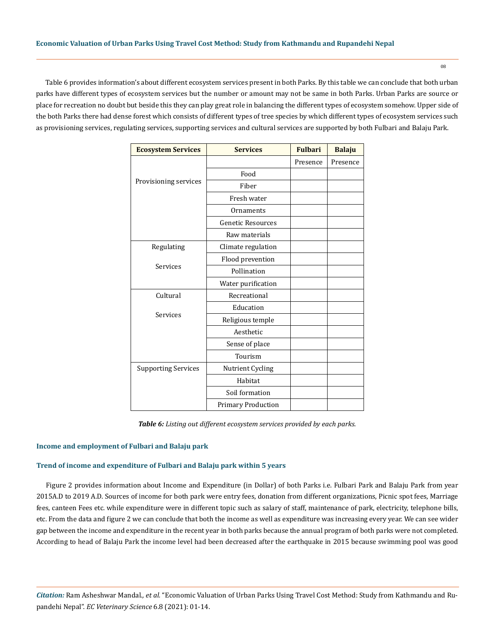Table 6 provides information's about different ecosystem services present in both Parks. By this table we can conclude that both urban parks have different types of ecosystem services but the number or amount may not be same in both Parks. Urban Parks are source or place for recreation no doubt but beside this they can play great role in balancing the different types of ecosystem somehow. Upper side of the both Parks there had dense forest which consists of different types of tree species by which different types of ecosystem services such as provisioning services, regulating services, supporting services and cultural services are supported by both Fulbari and Balaju Park.

| <b>Ecosystem Services</b>  | <b>Services</b>           | <b>Fulbari</b> | <b>Balaju</b> |
|----------------------------|---------------------------|----------------|---------------|
|                            |                           | Presence       | Presence      |
|                            | Food                      |                |               |
| Provisioning services      | Fiber                     |                |               |
|                            | Fresh water               |                |               |
|                            | Ornaments                 |                |               |
|                            | <b>Genetic Resources</b>  |                |               |
|                            | Raw materials             |                |               |
| Regulating                 | Climate regulation        |                |               |
|                            | Flood prevention          |                |               |
| Services                   | Pollination               |                |               |
|                            | Water purification        |                |               |
| Cultural                   | Recreational              |                |               |
|                            | Education                 |                |               |
| Services                   | Religious temple          |                |               |
|                            | Aesthetic                 |                |               |
|                            | Sense of place            |                |               |
|                            | Tourism                   |                |               |
| <b>Supporting Services</b> | Nutrient Cycling          |                |               |
|                            | Habitat                   |                |               |
|                            | Soil formation            |                |               |
|                            | <b>Primary Production</b> |                |               |

*Table 6: Listing out different ecosystem services provided by each parks.*

#### **Income and employment of Fulbari and Balaju park**

#### **Trend of income and expenditure of Fulbari and Balaju park within 5 years**

Figure 2 provides information about Income and Expenditure (in Dollar) of both Parks i.e. Fulbari Park and Balaju Park from year 2015A.D to 2019 A.D. Sources of income for both park were entry fees, donation from different organizations, Picnic spot fees, Marriage fees, canteen Fees etc. while expenditure were in different topic such as salary of staff, maintenance of park, electricity, telephone bills, etc. From the data and figure 2 we can conclude that both the income as well as expenditure was increasing every year. We can see wider gap between the income and expenditure in the recent year in both parks because the annual program of both parks were not completed. According to head of Balaju Park the income level had been decreased after the earthquake in 2015 because swimming pool was good

*Citation:* Ram Asheshwar Mandal*., et al.* "Economic Valuation of Urban Parks Using Travel Cost Method: Study from Kathmandu and Rupandehi Nepal". *EC Veterinary Science* 6.8 (2021): 01-14.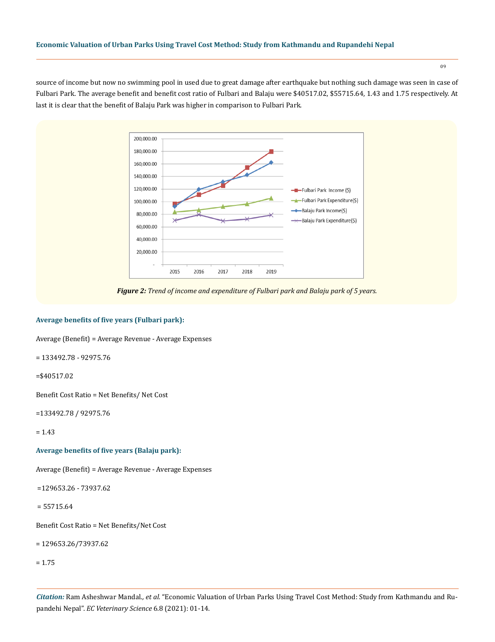source of income but now no swimming pool in used due to great damage after earthquake but nothing such damage was seen in case of Fulbari Park. The average benefit and benefit cost ratio of Fulbari and Balaju were \$40517.02, \$55715.64, 1.43 and 1.75 respectively. At last it is clear that the benefit of Balaju Park was higher in comparison to Fulbari Park.



*Figure 2: Trend of income and expenditure of Fulbari park and Balaju park of 5 years.*

# **Average benefits of five years (Fulbari park):**

Average (Benefit) = Average Revenue - Average Expenses

= 133492.78 - 92975.76

=\$40517.02

Benefit Cost Ratio = Net Benefits/ Net Cost

=133492.78 / 92975.76

= 1.43

**Average benefits of five years (Balaju park):**

Average (Benefit) = Average Revenue - Average Expenses

=129653.26 - 73937.62

= 55715.64

Benefit Cost Ratio = Net Benefits/Net Cost

= 129653.26/73937.62

= 1.75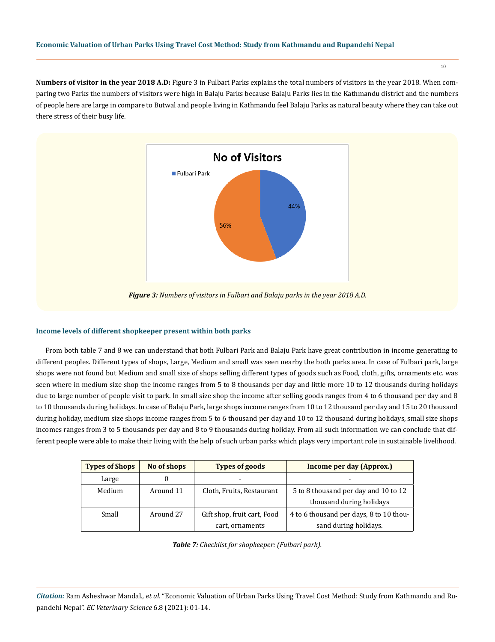**Numbers of visitor in the year 2018 A.D:** Figure 3 in Fulbari Parks explains the total numbers of visitors in the year 2018. When comparing two Parks the numbers of visitors were high in Balaju Parks because Balaju Parks lies in the Kathmandu district and the numbers of people here are large in compare to Butwal and people living in Kathmandu feel Balaju Parks as natural beauty where they can take out there stress of their busy life.



*Figure 3: Numbers of visitors in Fulbari and Balaju parks in the year 2018 A.D.*

# **Income levels of different shopkeeper present within both parks**

From both table 7 and 8 we can understand that both Fulbari Park and Balaju Park have great contribution in income generating to different peoples. Different types of shops, Large, Medium and small was seen nearby the both parks area. In case of Fulbari park, large shops were not found but Medium and small size of shops selling different types of goods such as Food, cloth, gifts, ornaments etc. was seen where in medium size shop the income ranges from 5 to 8 thousands per day and little more 10 to 12 thousands during holidays due to large number of people visit to park. In small size shop the income after selling goods ranges from 4 to 6 thousand per day and 8 to 10 thousands during holidays. In case of Balaju Park, large shops income ranges from 10 to 12 thousand per day and 15 to 20 thousand during holiday, medium size shops income ranges from 5 to 6 thousand per day and 10 to 12 thousand during holidays, small size shops incomes ranges from 3 to 5 thousands per day and 8 to 9 thousands during holiday. From all such information we can conclude that different people were able to make their living with the help of such urban parks which plays very important role in sustainable livelihood.

| <b>Types of Shops</b> | No of shops | <b>Types of goods</b>       | Income per day (Approx.)                |
|-----------------------|-------------|-----------------------------|-----------------------------------------|
| Large                 |             |                             | ۰                                       |
| Medium                | Around 11   | Cloth, Fruits, Restaurant   | 5 to 8 thousand per day and 10 to 12    |
|                       |             |                             | thousand during holidays                |
| Small                 | Around 27   | Gift shop, fruit cart, Food | 4 to 6 thousand per days, 8 to 10 thou- |
|                       |             | cart, ornaments             | sand during holidays.                   |

*Table 7: Checklist for shopkeeper: (Fulbari park).*

*Citation:* Ram Asheshwar Mandal*., et al.* "Economic Valuation of Urban Parks Using Travel Cost Method: Study from Kathmandu and Rupandehi Nepal". *EC Veterinary Science* 6.8 (2021): 01-14.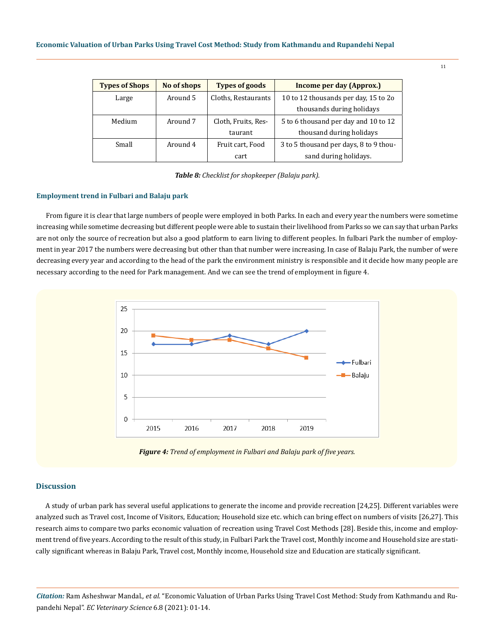| <b>Types of Shops</b> | No of shops | <b>Types of goods</b> | Income per day (Approx.)               |
|-----------------------|-------------|-----------------------|----------------------------------------|
| Large                 | Around 5    | Cloths, Restaurants   | 10 to 12 thousands per day, 15 to 20   |
|                       |             |                       | thousands during holidays              |
| Medium                | Around 7    | Cloth, Fruits, Res-   | 5 to 6 thousand per day and 10 to 12   |
|                       |             | taurant               | thousand during holidays               |
| Small                 | Around 4    | Fruit cart, Food      | 3 to 5 thousand per days, 8 to 9 thou- |
|                       |             | cart                  | sand during holidays.                  |

*Table 8: Checklist for shopkeeper (Balaju park).*

#### **Employment trend in Fulbari and Balaju park**

From figure it is clear that large numbers of people were employed in both Parks. In each and every year the numbers were sometime increasing while sometime decreasing but different people were able to sustain their livelihood from Parks so we can say that urban Parks are not only the source of recreation but also a good platform to earn living to different peoples. In fulbari Park the number of employment in year 2017 the numbers were decreasing but other than that number were increasing. In case of Balaju Park, the number of were decreasing every year and according to the head of the park the environment ministry is responsible and it decide how many people are necessary according to the need for Park management. And we can see the trend of employment in figure 4.



*Figure 4: Trend of employment in Fulbari and Balaju park of five years.*

#### **Discussion**

A study of urban park has several useful applications to generate the income and provide recreation [24,25]. Different variables were analyzed such as Travel cost, Income of Visitors, Education; Household size etc. which can bring effect on numbers of visits [26,27]. This research aims to compare two parks economic valuation of recreation using Travel Cost Methods [28]. Beside this, income and employment trend of five years. According to the result of this study, in Fulbari Park the Travel cost, Monthly income and Household size are statically significant whereas in Balaju Park, Travel cost, Monthly income, Household size and Education are statically significant.

*Citation:* Ram Asheshwar Mandal*., et al.* "Economic Valuation of Urban Parks Using Travel Cost Method: Study from Kathmandu and Rupandehi Nepal". *EC Veterinary Science* 6.8 (2021): 01-14.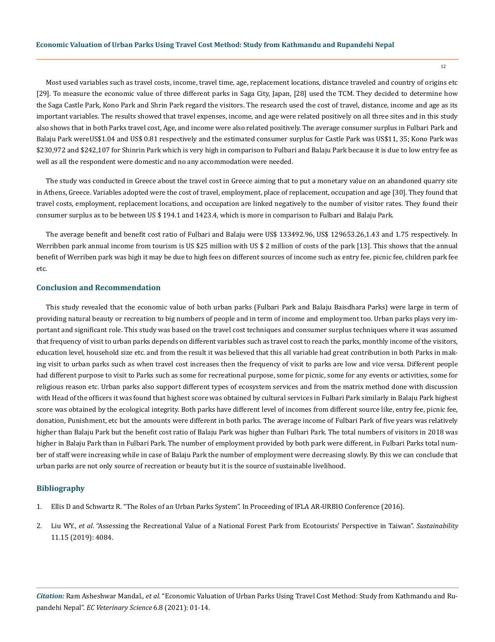Most used variables such as travel costs, income, travel time, age, replacement locations, distance traveled and country of origins etc [29]. To measure the economic value of three different parks in Saga City, Japan, [28] used the TCM. They decided to determine how the Saga Castle Park, Kono Park and Shrin Park regard the visitors. The research used the cost of travel, distance, income and age as its important variables. The results showed that travel expenses, income, and age were related positively on all three sites and in this study also shows that in both Parks travel cost, Age, and income were also related positively. The average consumer surplus in Fulbari Park and Balaju Park wereUS\$1.04 and US\$ 0.81 respectively and the estimated consumer surplus for Castle Park was US\$11, 35; Kono Park was \$230,972 and \$242,107 for Shinrin Park which is very high in comparison to Fulbari and Balaju Park because it is due to low entry fee as well as all the respondent were domestic and no any accommodation were needed.

The study was conducted in Greece about the travel cost in Greece aiming that to put a monetary value on an abandoned quarry site in Athens, Greece. Variables adopted were the cost of travel, employment, place of replacement, occupation and age [30]. They found that travel costs, employment, replacement locations, and occupation are linked negatively to the number of visitor rates. They found their consumer surplus as to be between US \$ 194.1 and 1423.4, which is more in comparison to Fulbari and Balaju Park.

The average benefit and benefit cost ratio of Fulbari and Balaju were US\$ 133492.96, US\$ 129653.26,1.43 and 1.75 respectively. In Werribben park annual income from tourism is US \$25 million with US \$ 2 million of costs of the park [13]. This shows that the annual benefit of Werriben park was high it may be due to high fees on different sources of income such as entry fee, picnic fee, children park fee etc.

#### **Conclusion and Recommendation**

This study revealed that the economic value of both urban parks (Fulbari Park and Balaju Baisdhara Parks) were large in term of providing natural beauty or recreation to big numbers of people and in term of income and employment too. Urban parks plays very important and significant role. This study was based on the travel cost techniques and consumer surplus techniques where it was assumed that frequency of visit to urban parks depends on different variables such as travel cost to reach the parks, monthly income of the visitors, education level, household size etc. and from the result it was believed that this all variable had great contribution in both Parks in making visit to urban parks such as when travel cost increases then the frequency of visit to parks are low and vice versa. Different people had different purpose to visit to Parks such as some for recreational purpose, some for picnic, some for any events or activities, some for religious reason etc. Urban parks also support different types of ecosystem services and from the matrix method done with discussion with Head of the officers it was found that highest score was obtained by cultural services in Fulbari Park similarly in Balaju Park highest score was obtained by the ecological integrity. Both parks have different level of incomes from different source like, entry fee, picnic fee, donation, Punishment, etc but the amounts were different in both parks. The average income of Fulbari Park of five years was relatively higher than Balaju Park but the benefit cost ratio of Balaju Park was higher than Fulbari Park. The total numbers of visitors in 2018 was higher in Balaju Park than in Fulbari Park. The number of employment provided by both park were different, in Fulbari Parks total number of staff were increasing while in case of Balaju Park the number of employment were decreasing slowly. By this we can conclude that urban parks are not only source of recreation or beauty but it is the source of sustainable livelihood.

#### **Bibliography**

- 1. [Ellis D and Schwartz R. "The Roles of an Urban Parks System". In Proceeding of IFLA AR-URBIO Conference \(2016\).](https://worldurbanparks.org/images/Documents/The-Roles-of-an-Urban-Parks-System.pdf)
- 2. Liu WY., *et al*[. "Assessing the Recreational Value of a National Forest Park from Ecotourists' Perspective in Taiwan".](https://ideas.repec.org/a/gam/jsusta/v11y2019i15p4084-d252560.html) *Sustainability* [11.15 \(2019\): 4084.](https://ideas.repec.org/a/gam/jsusta/v11y2019i15p4084-d252560.html)

*Citation:* Ram Asheshwar Mandal*., et al.* "Economic Valuation of Urban Parks Using Travel Cost Method: Study from Kathmandu and Rupandehi Nepal". *EC Veterinary Science* 6.8 (2021): 01-14.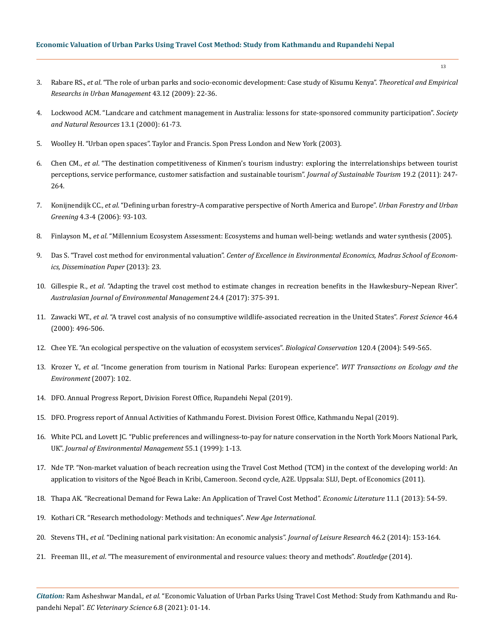- 3. Rabare RS., *et al*[. "The role of urban parks and socio-economic development: Case study of Kisumu Kenya".](https://www.researchgate.net/publication/46567794_THE_ROLE_OF_URBAN_PARKS_AND_SOCIO-ECONOMIC_DEVELOPMENT_CASE_STUDY_OF_KISUMU_KENYA) *Theoretical and Empirical [Researchs in Urban Management](https://www.researchgate.net/publication/46567794_THE_ROLE_OF_URBAN_PARKS_AND_SOCIO-ECONOMIC_DEVELOPMENT_CASE_STUDY_OF_KISUMU_KENYA)* 43.12 (2009): 22-36.
- 4. [Lockwood ACM. "Landcare and catchment management in Australia: lessons for state-sponsored community participation".](https://www.tandfonline.com/doi/abs/10.1080/089419200279243) *Society [and Natural Resources](https://www.tandfonline.com/doi/abs/10.1080/089419200279243)* 13.1 (2000): 61-73.
- 5. [Woolley H. "Urban open spaces". Taylor and Francis. Spon Press London and New York \(2003\).](https://www.taylorfrancis.com/books/mono/10.4324/9780203402146/urban-open-spaces-helen-woolley)
- 6. Chen CM., *et al*[. "The destination competitiveness of Kinmen's tourism industry: exploring the interrelationships between tourist](https://www.tandfonline.com/doi/abs/10.1080/09669582.2010.517315) [perceptions, service performance, customer satisfaction and sustainable tourism".](https://www.tandfonline.com/doi/abs/10.1080/09669582.2010.517315) *Journal of Sustainable Tourism* 19.2 (2011): 247- [264.](https://www.tandfonline.com/doi/abs/10.1080/09669582.2010.517315)
- 7. Konijnendijk CC., *et al*[. "Defining urban forestry–A comparative perspective of North America and Europe".](https://www.researchgate.net/publication/222515603_Defining_urban_forestry-A_comparative_perspective_of_North_America_and_Europe) *Urban Forestry and Urban Greening* [4.3-4 \(2006\): 93-103.](https://www.researchgate.net/publication/222515603_Defining_urban_forestry-A_comparative_perspective_of_North_America_and_Europe)
- 8. Finlayson M., *et al*[. "Millennium Ecosystem Assessment: Ecosystems and human well-being: wetlands and water synthesis \(2005\).](https://www.millenniumassessment.org/documents/document.358.aspx.pdf)
- 9. Das S. "Travel cost method for environmental valuation". *[Center of Excellence in Environmental Economics, Madras School of Econom](https://www.researchgate.net/publication/261635281_TRAVEL_COST_METHOD_FOR_ENVIRONMENTAL_VALUATION_DISSEMINATION_PAPER_-23_FEBRUARY_2013_MADRAS_SCHOOL_OF_ECONOMICS)[ics, Dissemination Paper](https://www.researchgate.net/publication/261635281_TRAVEL_COST_METHOD_FOR_ENVIRONMENTAL_VALUATION_DISSEMINATION_PAPER_-23_FEBRUARY_2013_MADRAS_SCHOOL_OF_ECONOMICS)* (2013): 23.
- 10. Gillespie R., *et al*[. "Adapting the travel cost method to estimate changes in recreation benefits in the Hawkesbury–Nepean River".](https://www.tandfonline.com/doi/abs/10.1080/14486563.2017.1354236) *[Australasian Journal of Environmental Management](https://www.tandfonline.com/doi/abs/10.1080/14486563.2017.1354236)* 24.4 (2017): 375-391.
- 11. Zawacki WT., *et al*[. "A travel cost analysis of no consumptive wildlife-associated recreation in the United States".](https://www.srs.fs.usda.gov/recreation/travelcost.pdf) *Forest Science* 46.4 [\(2000\): 496-506.](https://www.srs.fs.usda.gov/recreation/travelcost.pdf)
- 12. [Chee YE. "An ecological perspective on the valuation of ecosystem services".](https://www.sciencedirect.com/science/article/abs/pii/S0006320704001570) *Biological Conservation* 120.4 (2004): 549-565.
- 13. Krozer Y., *et al*[. "Income generation from tourism in National Parks: European experience".](https://www.researchgate.net/publication/269030479_Income_generation_from_tourism_in_National_Parks_European_experience) *WIT Transactions on Ecology and the [Environment](https://www.researchgate.net/publication/269030479_Income_generation_from_tourism_in_National_Parks_European_experience)* (2007): 102.
- 14. DFO. Annual Progress Report, Division Forest Office, Rupandehi Nepal (2019).
- 15. DFO. Progress report of Annual Activities of Kathmandu Forest. Division Forest Office, Kathmandu Nepal (2019).
- 16. [White PCL and Lovett JC. "Public preferences and willingness-to-pay for nature conservation in the North York Moors National Park,](https://www.sciencedirect.com/science/article/pii/S030147979890250X) UK". *[Journal of Environmental Management](https://www.sciencedirect.com/science/article/pii/S030147979890250X)* 55.1 (1999): 1-13.
- 17. [Nde TP. "Non-market valuation of beach recreation using the Travel Cost Method \(TCM\) in the context of the developing world: An](https://stud.epsilon.slu.se/3582/1/Master%20Thesis-TIMAH.pdf) [application to visitors of the Ngoé Beach in Kribi, Cameroon. Second cycle, A2E. Uppsala: SLU, Dept. of Economics \(2011\).](https://stud.epsilon.slu.se/3582/1/Master%20Thesis-TIMAH.pdf)
- 18. [Thapa AK. "Recreational Demand for Fewa Lake: An Application of Travel Cost Method".](https://www.nepjol.info/index.php/EL/article/view/14867) *Economic Literature* 11.1 (2013): 54-59.
- 19. Kothari CR. "Research methodology: Methods and techniques". *New Age International*.
- 20. Stevens TH., *et al*[. "Declining national park visitation: An economic analysis".](https://www.fs.fed.us/nrs/pubs/jrnl/2014/nrs_2014_stevens_001.pdf) *Journal of Leisure Research* 46.2 (2014): 153-164.
- 21. Freeman III., *et al*[. "The measurement of environmental and resource values: theory and methods".](http://econdse.org/wp-content/uploads/2016/07/Freeman-Herriges-Kling-2014.pdf) *Routledge* (2014).

*Citation:* Ram Asheshwar Mandal*., et al.* "Economic Valuation of Urban Parks Using Travel Cost Method: Study from Kathmandu and Rupandehi Nepal". *EC Veterinary Science* 6.8 (2021): 01-14.